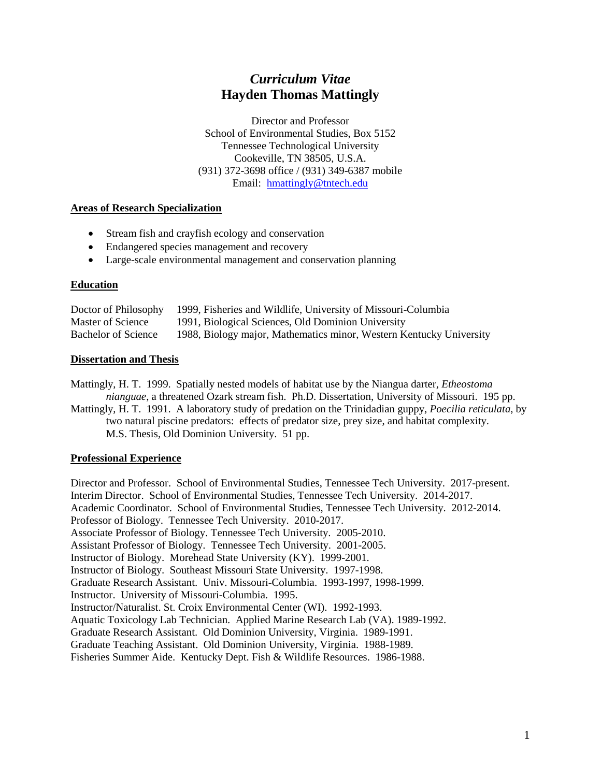# *Curriculum Vitae* **Hayden Thomas Mattingly**

Director and Professor School of Environmental Studies, Box 5152 Tennessee Technological University Cookeville, TN 38505, U.S.A. (931) 372-3698 office / (931) 349-6387 mobile Email: [hmattingly@tntech.edu](mailto:hmattingly@tntech.edu)

# **Areas of Research Specialization**

- Stream fish and crayfish ecology and conservation
- Endangered species management and recovery
- Large-scale environmental management and conservation planning

# **Education**

| Doctor of Philosophy       | 1999, Fisheries and Wildlife, University of Missouri-Columbia       |
|----------------------------|---------------------------------------------------------------------|
| Master of Science          | 1991, Biological Sciences, Old Dominion University                  |
| <b>Bachelor of Science</b> | 1988, Biology major, Mathematics minor, Western Kentucky University |

# **Dissertation and Thesis**

Mattingly, H. T. 1999. Spatially nested models of habitat use by the Niangua darter, *Etheostoma nianguae*, a threatened Ozark stream fish. Ph.D. Dissertation, University of Missouri. 195 pp.

Mattingly, H. T. 1991. A laboratory study of predation on the Trinidadian guppy, *Poecilia reticulata*, by two natural piscine predators: effects of predator size, prey size, and habitat complexity. M.S. Thesis, Old Dominion University. 51 pp.

# **Professional Experience**

Director and Professor. School of Environmental Studies, Tennessee Tech University. 2017-present. Interim Director. School of Environmental Studies, Tennessee Tech University. 2014-2017. Academic Coordinator. School of Environmental Studies, Tennessee Tech University. 2012-2014. Professor of Biology. Tennessee Tech University. 2010-2017. Associate Professor of Biology. Tennessee Tech University. 2005-2010. Assistant Professor of Biology. Tennessee Tech University. 2001-2005. Instructor of Biology. Morehead State University (KY). 1999-2001. Instructor of Biology. Southeast Missouri State University. 1997-1998. Graduate Research Assistant. Univ. Missouri-Columbia. 1993-1997, 1998-1999. Instructor. University of Missouri-Columbia. 1995. Instructor/Naturalist. St. Croix Environmental Center (WI). 1992-1993. Aquatic Toxicology Lab Technician. Applied Marine Research Lab (VA). 1989-1992. Graduate Research Assistant. Old Dominion University, Virginia. 1989-1991. Graduate Teaching Assistant. Old Dominion University, Virginia. 1988-1989. Fisheries Summer Aide. Kentucky Dept. Fish & Wildlife Resources. 1986-1988.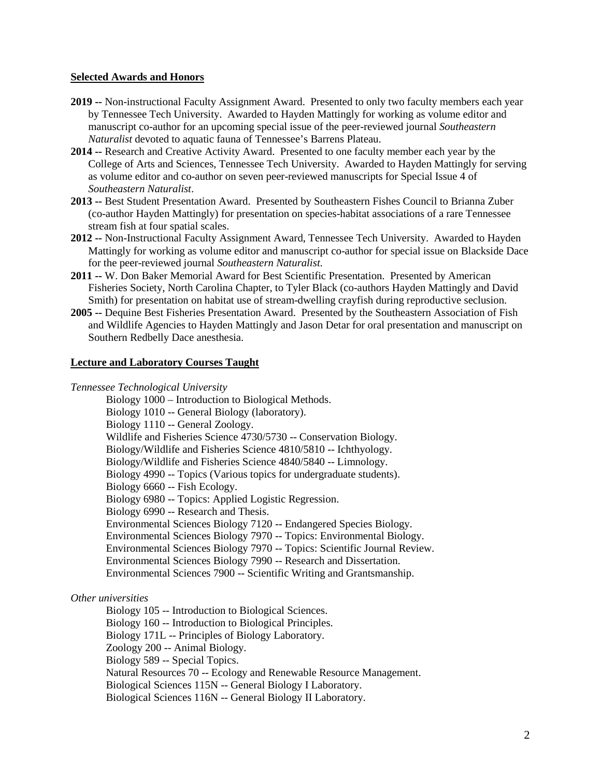#### **Selected Awards and Honors**

- **2019 --** Non-instructional Faculty Assignment Award. Presented to only two faculty members each year by Tennessee Tech University. Awarded to Hayden Mattingly for working as volume editor and manuscript co-author for an upcoming special issue of the peer-reviewed journal *Southeastern Naturalist* devoted to aquatic fauna of Tennessee's Barrens Plateau.
- **2014 --** Research and Creative Activity Award. Presented to one faculty member each year by the College of Arts and Sciences, Tennessee Tech University. Awarded to Hayden Mattingly for serving as volume editor and co-author on seven peer-reviewed manuscripts for Special Issue 4 of *Southeastern Naturalist*.
- **2013 --** Best Student Presentation Award. Presented by Southeastern Fishes Council to Brianna Zuber (co-author Hayden Mattingly) for presentation on species-habitat associations of a rare Tennessee stream fish at four spatial scales.
- **2012 --** Non-Instructional Faculty Assignment Award, Tennessee Tech University. Awarded to Hayden Mattingly for working as volume editor and manuscript co-author for special issue on Blackside Dace for the peer-reviewed journal *Southeastern Naturalist*.
- **2011 --** W. Don Baker Memorial Award for Best Scientific Presentation. Presented by American Fisheries Society, North Carolina Chapter, to Tyler Black (co-authors Hayden Mattingly and David Smith) for presentation on habitat use of stream-dwelling crayfish during reproductive seclusion.
- **2005 --** Dequine Best Fisheries Presentation Award. Presented by the Southeastern Association of Fish and Wildlife Agencies to Hayden Mattingly and Jason Detar for oral presentation and manuscript on Southern Redbelly Dace anesthesia.

### **Lecture and Laboratory Courses Taught**

*Tennessee Technological University*

Biology 1000 – Introduction to Biological Methods. Biology 1010 -- General Biology (laboratory). Biology 1110 -- General Zoology. Wildlife and Fisheries Science 4730/5730 -- Conservation Biology. Biology/Wildlife and Fisheries Science 4810/5810 -- Ichthyology. Biology/Wildlife and Fisheries Science 4840/5840 -- Limnology. Biology 4990 -- Topics (Various topics for undergraduate students). Biology 6660 -- Fish Ecology. Biology 6980 -- Topics: Applied Logistic Regression. Biology 6990 -- Research and Thesis. Environmental Sciences Biology 7120 -- Endangered Species Biology. Environmental Sciences Biology 7970 -- Topics: Environmental Biology. Environmental Sciences Biology 7970 -- Topics: Scientific Journal Review. Environmental Sciences Biology 7990 -- Research and Dissertation. Environmental Sciences 7900 -- Scientific Writing and Grantsmanship.

# *Other universities*

Biology 105 -- Introduction to Biological Sciences.

Biology 160 -- Introduction to Biological Principles.

Biology 171L -- Principles of Biology Laboratory.

Zoology 200 -- Animal Biology.

Biology 589 -- Special Topics.

Natural Resources 70 -- Ecology and Renewable Resource Management.

Biological Sciences 115N -- General Biology I Laboratory.

Biological Sciences 116N -- General Biology II Laboratory.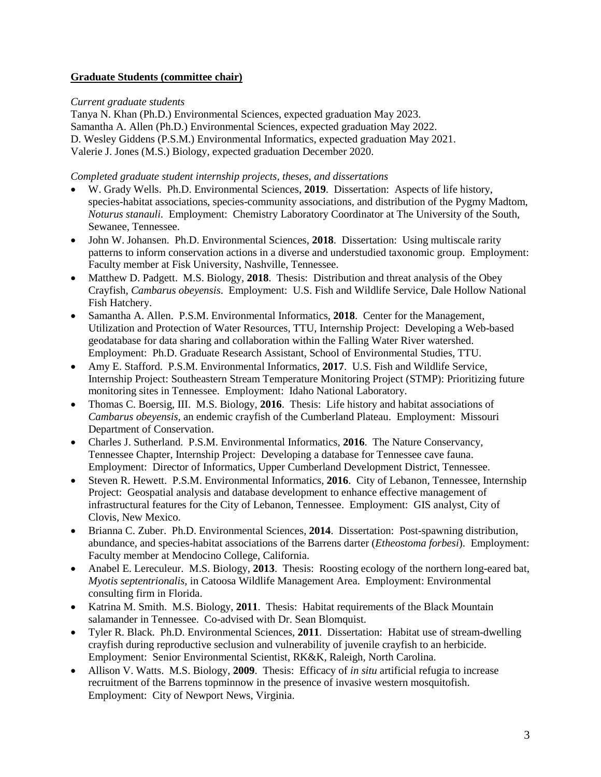# **Graduate Students (committee chair)**

# *Current graduate students*

Tanya N. Khan (Ph.D.) Environmental Sciences, expected graduation May 2023. Samantha A. Allen (Ph.D.) Environmental Sciences, expected graduation May 2022. D. Wesley Giddens (P.S.M.) Environmental Informatics, expected graduation May 2021. Valerie J. Jones (M.S.) Biology, expected graduation December 2020.

# *Completed graduate student internship projects, theses, and dissertations*

- W. Grady Wells. Ph.D. Environmental Sciences, **2019**. Dissertation: Aspects of life history, species-habitat associations, species-community associations, and distribution of the Pygmy Madtom, *Noturus stanauli.* Employment: Chemistry Laboratory Coordinator at The University of the South, Sewanee, Tennessee.
- John W. Johansen. Ph.D. Environmental Sciences, **2018**. Dissertation: Using multiscale rarity patterns to inform conservation actions in a diverse and understudied taxonomic group. Employment: Faculty member at Fisk University, Nashville, Tennessee.
- Matthew D. Padgett. M.S. Biology, **2018**. Thesis: Distribution and threat analysis of the Obey Crayfish, *Cambarus obeyensis*. Employment: U.S. Fish and Wildlife Service, Dale Hollow National Fish Hatchery.
- Samantha A. Allen. P.S.M. Environmental Informatics, **2018**. Center for the Management, Utilization and Protection of Water Resources, TTU, Internship Project: Developing a Web-based geodatabase for data sharing and collaboration within the Falling Water River watershed. Employment: Ph.D. Graduate Research Assistant, School of Environmental Studies, TTU.
- Amy E. Stafford. P.S.M. Environmental Informatics, **2017**. U.S. Fish and Wildlife Service, Internship Project: Southeastern Stream Temperature Monitoring Project (STMP): Prioritizing future monitoring sites in Tennessee. Employment: Idaho National Laboratory.
- Thomas C. Boersig, III. M.S. Biology, **2016**. Thesis: Life history and habitat associations of *Cambarus obeyensis*, an endemic crayfish of the Cumberland Plateau. Employment: Missouri Department of Conservation.
- Charles J. Sutherland. P.S.M. Environmental Informatics, **2016**. The Nature Conservancy, Tennessee Chapter, Internship Project: Developing a database for Tennessee cave fauna. Employment: Director of Informatics, Upper Cumberland Development District, Tennessee.
- Steven R. Hewett. P.S.M. Environmental Informatics, **2016**. City of Lebanon, Tennessee, Internship Project: Geospatial analysis and database development to enhance effective management of infrastructural features for the City of Lebanon, Tennessee. Employment: GIS analyst, City of Clovis, New Mexico.
- Brianna C. Zuber. Ph.D. Environmental Sciences, **2014**. Dissertation: Post-spawning distribution, abundance, and species-habitat associations of the Barrens darter (*Etheostoma forbesi*). Employment: Faculty member at Mendocino College, California.
- Anabel E. Lereculeur. M.S. Biology, **2013**. Thesis: Roosting ecology of the northern long-eared bat, *Myotis septentrionalis*, in Catoosa Wildlife Management Area. Employment: Environmental consulting firm in Florida.
- Katrina M. Smith. M.S. Biology, **2011**. Thesis: Habitat requirements of the Black Mountain salamander in Tennessee. Co-advised with Dr. Sean Blomquist.
- Tyler R. Black. Ph.D. Environmental Sciences, **2011**. Dissertation: Habitat use of stream-dwelling crayfish during reproductive seclusion and vulnerability of juvenile crayfish to an herbicide. Employment: Senior Environmental Scientist, RK&K, Raleigh, North Carolina.
- Allison V. Watts. M.S. Biology, **2009**. Thesis: Efficacy of *in situ* artificial refugia to increase recruitment of the Barrens topminnow in the presence of invasive western mosquitofish. Employment: City of Newport News, Virginia.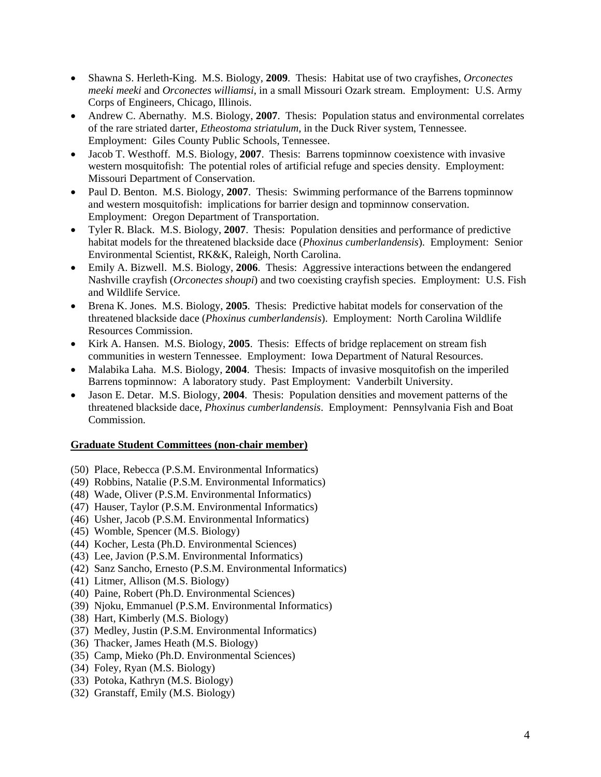- Shawna S. Herleth-King. M.S. Biology, **2009**. Thesis: Habitat use of two crayfishes, *Orconectes meeki meeki* and *Orconectes williamsi*, in a small Missouri Ozark stream. Employment: U.S. Army Corps of Engineers, Chicago, Illinois.
- Andrew C. Abernathy. M.S. Biology, 2007. Thesis: Population status and environmental correlates of the rare striated darter, *Etheostoma striatulum*, in the Duck River system, Tennessee. Employment: Giles County Public Schools, Tennessee.
- Jacob T. Westhoff. M.S. Biology, **2007**. Thesis: Barrens topminnow coexistence with invasive western mosquitofish: The potential roles of artificial refuge and species density. Employment: Missouri Department of Conservation.
- Paul D. Benton. M.S. Biology, **2007**. Thesis: Swimming performance of the Barrens topminnow and western mosquitofish: implications for barrier design and topminnow conservation. Employment: Oregon Department of Transportation.
- Tyler R. Black. M.S. Biology, **2007**. Thesis: Population densities and performance of predictive habitat models for the threatened blackside dace (*Phoxinus cumberlandensis*). Employment: Senior Environmental Scientist, RK&K, Raleigh, North Carolina.
- Emily A. Bizwell. M.S. Biology, **2006**. Thesis: Aggressive interactions between the endangered Nashville crayfish (*Orconectes shoupi*) and two coexisting crayfish species. Employment: U.S. Fish and Wildlife Service.
- Brena K. Jones. M.S. Biology, **2005**. Thesis: Predictive habitat models for conservation of the threatened blackside dace (*Phoxinus cumberlandensis*). Employment: North Carolina Wildlife Resources Commission.
- Kirk A. Hansen. M.S. Biology, **2005**. Thesis: Effects of bridge replacement on stream fish communities in western Tennessee. Employment: Iowa Department of Natural Resources.
- Malabika Laha. M.S. Biology, **2004**. Thesis: Impacts of invasive mosquitofish on the imperiled Barrens topminnow: A laboratory study. Past Employment: Vanderbilt University.
- Jason E. Detar. M.S. Biology, **2004**. Thesis: Population densities and movement patterns of the threatened blackside dace, *Phoxinus cumberlandensis*. Employment: Pennsylvania Fish and Boat Commission.

# **Graduate Student Committees (non-chair member)**

- (50) Place, Rebecca (P.S.M. Environmental Informatics)
- (49) Robbins, Natalie (P.S.M. Environmental Informatics)
- (48) Wade, Oliver (P.S.M. Environmental Informatics)
- (47) Hauser, Taylor (P.S.M. Environmental Informatics)
- (46) Usher, Jacob (P.S.M. Environmental Informatics)
- (45) Womble, Spencer (M.S. Biology)
- (44) Kocher, Lesta (Ph.D. Environmental Sciences)
- (43) Lee, Javion (P.S.M. Environmental Informatics)
- (42) Sanz Sancho, Ernesto (P.S.M. Environmental Informatics)
- (41) Litmer, Allison (M.S. Biology)
- (40) Paine, Robert (Ph.D. Environmental Sciences)
- (39) Njoku, Emmanuel (P.S.M. Environmental Informatics)
- (38) Hart, Kimberly (M.S. Biology)
- (37) Medley, Justin (P.S.M. Environmental Informatics)
- (36) Thacker, James Heath (M.S. Biology)
- (35) Camp, Mieko (Ph.D. Environmental Sciences)
- (34) Foley, Ryan (M.S. Biology)
- (33) Potoka, Kathryn (M.S. Biology)
- (32) Granstaff, Emily (M.S. Biology)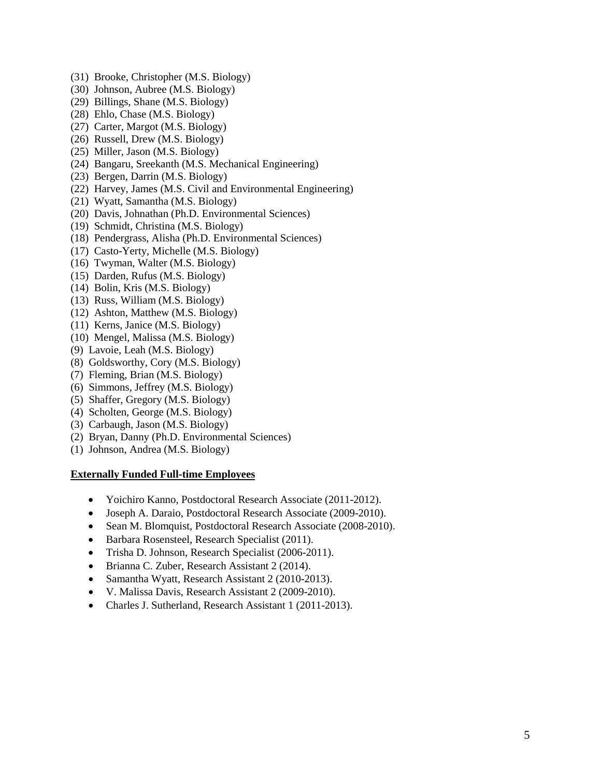- (31) Brooke, Christopher (M.S. Biology)
- (30) Johnson, Aubree (M.S. Biology)
- (29) Billings, Shane (M.S. Biology)
- (28) Ehlo, Chase (M.S. Biology)
- (27) Carter, Margot (M.S. Biology)
- (26) Russell, Drew (M.S. Biology)
- (25) Miller, Jason (M.S. Biology)
- (24) Bangaru, Sreekanth (M.S. Mechanical Engineering)
- (23) Bergen, Darrin (M.S. Biology)
- (22) Harvey, James (M.S. Civil and Environmental Engineering)
- (21) Wyatt, Samantha (M.S. Biology)
- (20) Davis, Johnathan (Ph.D. Environmental Sciences)
- (19) Schmidt, Christina (M.S. Biology)
- (18) Pendergrass, Alisha (Ph.D. Environmental Sciences)
- (17) Casto-Yerty, Michelle (M.S. Biology)
- (16) Twyman, Walter (M.S. Biology)
- (15) Darden, Rufus (M.S. Biology)
- (14) Bolin, Kris (M.S. Biology)
- (13) Russ, William (M.S. Biology)
- (12) Ashton, Matthew (M.S. Biology)
- (11) Kerns, Janice (M.S. Biology)
- (10) Mengel, Malissa (M.S. Biology)
- (9) Lavoie, Leah (M.S. Biology)
- (8) Goldsworthy, Cory (M.S. Biology)
- (7) Fleming, Brian (M.S. Biology)
- (6) Simmons, Jeffrey (M.S. Biology)
- (5) Shaffer, Gregory (M.S. Biology)
- (4) Scholten, George (M.S. Biology)
- (3) Carbaugh, Jason (M.S. Biology)
- (2) Bryan, Danny (Ph.D. Environmental Sciences)
- (1) Johnson, Andrea (M.S. Biology)

#### **Externally Funded Full-time Employees**

- Yoichiro Kanno, Postdoctoral Research Associate (2011-2012).
- Joseph A. Daraio, Postdoctoral Research Associate (2009-2010).
- Sean M. Blomquist, Postdoctoral Research Associate (2008-2010).
- Barbara Rosensteel, Research Specialist (2011).
- Trisha D. Johnson, Research Specialist (2006-2011).
- Brianna C. Zuber, Research Assistant 2 (2014).
- Samantha Wyatt, Research Assistant 2 (2010-2013).
- V. Malissa Davis, Research Assistant 2 (2009-2010).
- Charles J. Sutherland, Research Assistant 1 (2011-2013).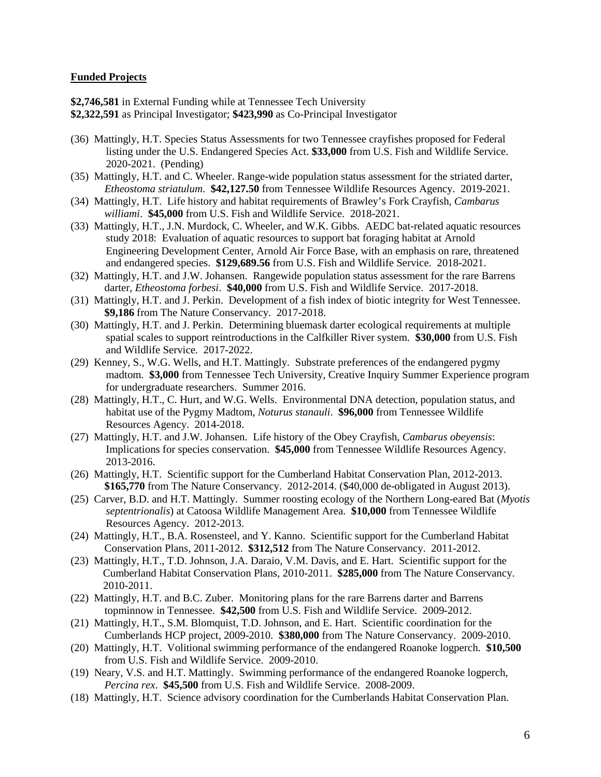#### **Funded Projects**

**\$2,746,581** in External Funding while at Tennessee Tech University

- **\$2,322,591** as Principal Investigator; **\$423,990** as Co-Principal Investigator
- (36) Mattingly, H.T. Species Status Assessments for two Tennessee crayfishes proposed for Federal listing under the U.S. Endangered Species Act. **\$33,000** from U.S. Fish and Wildlife Service. 2020-2021. (Pending)
- (35) Mattingly, H.T. and C. Wheeler. Range-wide population status assessment for the striated darter, *Etheostoma striatulum*. **\$42,127.50** from Tennessee Wildlife Resources Agency. 2019-2021.
- (34) Mattingly, H.T. Life history and habitat requirements of Brawley's Fork Crayfish, *Cambarus williami*. **\$45,000** from U.S. Fish and Wildlife Service. 2018-2021.
- (33) Mattingly, H.T., J.N. Murdock, C. Wheeler, and W.K. Gibbs. AEDC bat-related aquatic resources study 2018: Evaluation of aquatic resources to support bat foraging habitat at Arnold Engineering Development Center, Arnold Air Force Base, with an emphasis on rare, threatened and endangered species. **\$129,689.56** from U.S. Fish and Wildlife Service. 2018-2021.
- (32) Mattingly, H.T. and J.W. Johansen. Rangewide population status assessment for the rare Barrens darter, *Etheostoma forbesi*. **\$40,000** from U.S. Fish and Wildlife Service. 2017-2018.
- (31) Mattingly, H.T. and J. Perkin. Development of a fish index of biotic integrity for West Tennessee. **\$9,186** from The Nature Conservancy. 2017-2018.
- (30) Mattingly, H.T. and J. Perkin. Determining bluemask darter ecological requirements at multiple spatial scales to support reintroductions in the Calfkiller River system. **\$30,000** from U.S. Fish and Wildlife Service. 2017-2022.
- (29) Kenney, S., W.G. Wells, and H.T. Mattingly. Substrate preferences of the endangered pygmy madtom. **\$3,000** from Tennessee Tech University, Creative Inquiry Summer Experience program for undergraduate researchers. Summer 2016.
- (28) Mattingly, H.T., C. Hurt, and W.G. Wells. Environmental DNA detection, population status, and habitat use of the Pygmy Madtom, *Noturus stanauli*. **\$96,000** from Tennessee Wildlife Resources Agency. 2014-2018.
- (27) Mattingly, H.T. and J.W. Johansen. Life history of the Obey Crayfish, *Cambarus obeyensis*: Implications for species conservation. **\$45,000** from Tennessee Wildlife Resources Agency. 2013-2016.
- (26) Mattingly, H.T. Scientific support for the Cumberland Habitat Conservation Plan, 2012-2013. **\$165,770** from The Nature Conservancy. 2012-2014. (\$40,000 de-obligated in August 2013).
- (25) Carver, B.D. and H.T. Mattingly. Summer roosting ecology of the Northern Long-eared Bat (*Myotis septentrionalis*) at Catoosa Wildlife Management Area. **\$10,000** from Tennessee Wildlife Resources Agency. 2012-2013.
- (24) Mattingly, H.T., B.A. Rosensteel, and Y. Kanno. Scientific support for the Cumberland Habitat Conservation Plans, 2011-2012. **\$312,512** from The Nature Conservancy. 2011-2012.
- (23) Mattingly, H.T., T.D. Johnson, J.A. Daraio, V.M. Davis, and E. Hart. Scientific support for the Cumberland Habitat Conservation Plans, 2010-2011. **\$285,000** from The Nature Conservancy. 2010-2011.
- (22) Mattingly, H.T. and B.C. Zuber. Monitoring plans for the rare Barrens darter and Barrens topminnow in Tennessee. **\$42,500** from U.S. Fish and Wildlife Service. 2009-2012.
- (21) Mattingly, H.T., S.M. Blomquist, T.D. Johnson, and E. Hart. Scientific coordination for the Cumberlands HCP project, 2009-2010. **\$380,000** from The Nature Conservancy. 2009-2010.
- (20) Mattingly, H.T. Volitional swimming performance of the endangered Roanoke logperch. **\$10,500**  from U.S. Fish and Wildlife Service. 2009-2010.
- (19) Neary, V.S. and H.T. Mattingly. Swimming performance of the endangered Roanoke logperch, *Percina rex*. **\$45,500** from U.S. Fish and Wildlife Service. 2008-2009.
- (18) Mattingly, H.T. Science advisory coordination for the Cumberlands Habitat Conservation Plan.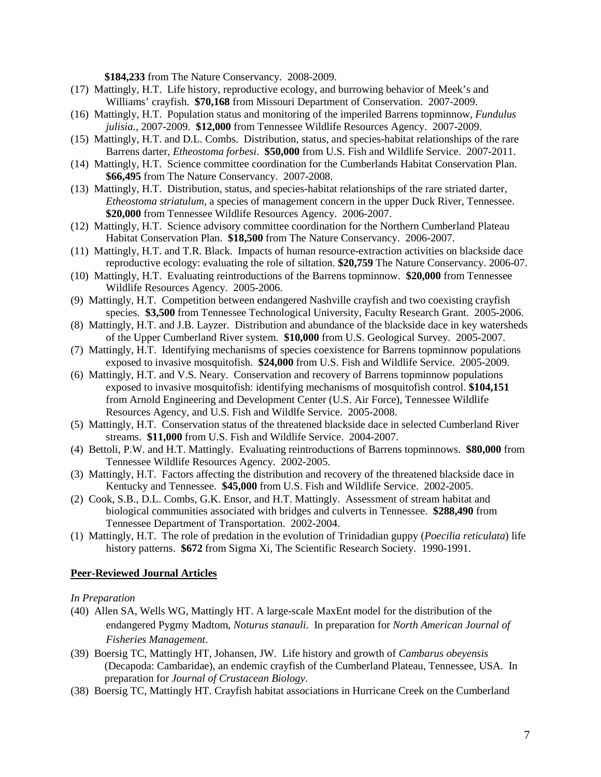**\$184,233** from The Nature Conservancy. 2008-2009.

- (17) Mattingly, H.T. Life history, reproductive ecology, and burrowing behavior of Meek's and Williams' crayfish. **\$70,168** from Missouri Department of Conservation. 2007-2009.
- (16) Mattingly, H.T. Population status and monitoring of the imperiled Barrens topminnow, *Fundulus julisia.*, 2007-2009. **\$12,000** from Tennessee Wildlife Resources Agency. 2007-2009.
- (15) Mattingly, H.T. and D.L. Combs. Distribution, status, and species-habitat relationships of the rare Barrens darter, *Etheostoma forbesi*. **\$50,000** from U.S. Fish and Wildlife Service. 2007-2011.
- (14) Mattingly, H.T. Science committee coordination for the Cumberlands Habitat Conservation Plan. **\$66,495** from The Nature Conservancy. 2007-2008.
- (13) Mattingly, H.T. Distribution, status, and species-habitat relationships of the rare striated darter, *Etheostoma striatulum*, a species of management concern in the upper Duck River, Tennessee. **\$20,000** from Tennessee Wildlife Resources Agency. 2006-2007.
- (12) Mattingly, H.T. Science advisory committee coordination for the Northern Cumberland Plateau Habitat Conservation Plan. **\$18,500** from The Nature Conservancy. 2006-2007.
- (11) Mattingly, H.T. and T.R. Black. Impacts of human resource-extraction activities on blackside dace reproductive ecology: evaluating the role of siltation. **\$20,759** The Nature Conservancy. 2006-07.
- (10) Mattingly, H.T. Evaluating reintroductions of the Barrens topminnow. **\$20,000** from Tennessee Wildlife Resources Agency. 2005-2006.
- (9) Mattingly, H.T. Competition between endangered Nashville crayfish and two coexisting crayfish species. **\$3,500** from Tennessee Technological University, Faculty Research Grant. 2005-2006.
- (8) Mattingly, H.T. and J.B. Layzer. Distribution and abundance of the blackside dace in key watersheds of the Upper Cumberland River system. **\$10,000** from U.S. Geological Survey. 2005-2007.
- (7) Mattingly, H.T. Identifying mechanisms of species coexistence for Barrens topminnow populations exposed to invasive mosquitofish. **\$24,000** from U.S. Fish and Wildlife Service. 2005-2009.
- (6) Mattingly, H.T. and V.S. Neary. Conservation and recovery of Barrens topminnow populations exposed to invasive mosquitofish: identifying mechanisms of mosquitofish control. **\$104,151** from Arnold Engineering and Development Center (U.S. Air Force), Tennessee Wildlife Resources Agency, and U.S. Fish and Wildlfe Service. 2005-2008.
- (5) Mattingly, H.T. Conservation status of the threatened blackside dace in selected Cumberland River streams. **\$11,000** from U.S. Fish and Wildlife Service. 2004-2007.
- (4) Bettoli, P.W. and H.T. Mattingly. Evaluating reintroductions of Barrens topminnows. **\$80,000** from Tennessee Wildlife Resources Agency. 2002-2005.
- (3) Mattingly, H.T. Factors affecting the distribution and recovery of the threatened blackside dace in Kentucky and Tennessee. **\$45,000** from U.S. Fish and Wildlife Service. 2002-2005.
- (2) Cook, S.B., D.L. Combs, G.K. Ensor, and H.T. Mattingly. Assessment of stream habitat and biological communities associated with bridges and culverts in Tennessee. **\$288,490** from Tennessee Department of Transportation. 2002-2004.
- (1) Mattingly, H.T. The role of predation in the evolution of Trinidadian guppy (*Poecilia reticulata*) life history patterns. **\$672** from Sigma Xi, The Scientific Research Society. 1990-1991.

# **Peer-Reviewed Journal Articles**

#### *In Preparation*

- (40) Allen SA, Wells WG, Mattingly HT. A large-scale MaxEnt model for the distribution of the endangered Pygmy Madtom, *Noturus stanauli*. In preparation for *North American Journal of Fisheries Management*.
- (39) Boersig TC, Mattingly HT, Johansen, JW. Life history and growth of *Cambarus obeyensis* (Decapoda: Cambaridae), an endemic crayfish of the Cumberland Plateau, Tennessee, USA. In preparation for *Journal of Crustacean Biology*.
- (38) Boersig TC, Mattingly HT. Crayfish habitat associations in Hurricane Creek on the Cumberland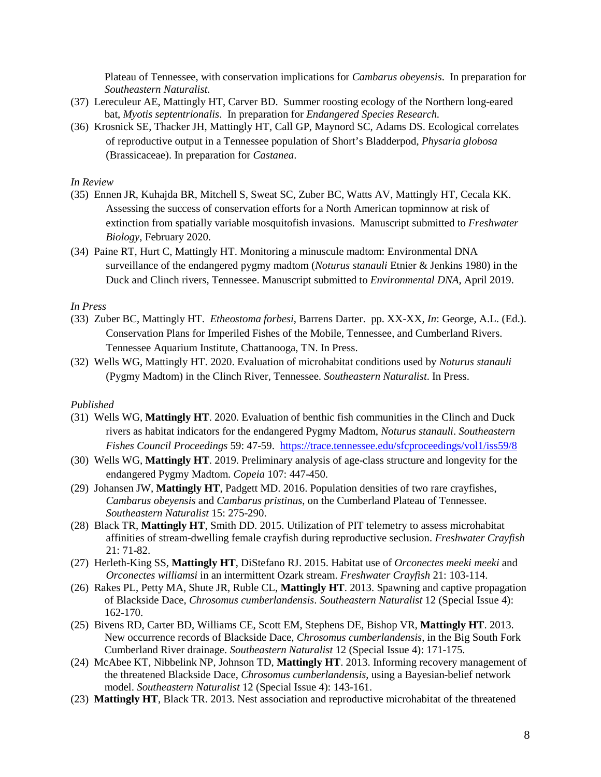Plateau of Tennessee, with conservation implications for *Cambarus obeyensis*. In preparation for *Southeastern Naturalist*.

- (37) Lereculeur AE, Mattingly HT, Carver BD. Summer roosting ecology of the Northern long-eared bat, *Myotis septentrionalis*. In preparation for *Endangered Species Research.*
- (36) Krosnick SE, Thacker JH, Mattingly HT, Call GP, Maynord SC, Adams DS. Ecological correlates of reproductive output in a Tennessee population of Short's Bladderpod, *Physaria globosa*  (Brassicaceae). In preparation for *Castanea*.

#### *In Review*

- (35) Ennen JR, Kuhajda BR, Mitchell S, Sweat SC, Zuber BC, Watts AV, Mattingly HT, Cecala KK. Assessing the success of conservation efforts for a North American topminnow at risk of extinction from spatially variable mosquitofish invasions. Manuscript submitted to *Freshwater Biology*, February 2020.
- (34) Paine RT, Hurt C, Mattingly HT. Monitoring a minuscule madtom: Environmental DNA surveillance of the endangered pygmy madtom (*Noturus stanauli* Etnier & Jenkins 1980) in the Duck and Clinch rivers, Tennessee. Manuscript submitted to *Environmental DNA*, April 2019.

# *In Press*

- (33) Zuber BC, Mattingly HT. *Etheostoma forbesi*, Barrens Darter. pp. XX-XX, *In*: George, A.L. (Ed.). Conservation Plans for Imperiled Fishes of the Mobile, Tennessee, and Cumberland Rivers. Tennessee Aquarium Institute, Chattanooga, TN. In Press.
- (32) Wells WG, Mattingly HT. 2020. Evaluation of microhabitat conditions used by *Noturus stanauli* (Pygmy Madtom) in the Clinch River, Tennessee. *Southeastern Naturalist*. In Press.

#### *Published*

- (31) Wells WG, **Mattingly HT**. 2020. Evaluation of benthic fish communities in the Clinch and Duck rivers as habitat indicators for the endangered Pygmy Madtom, *Noturus stanauli*. *Southeastern Fishes Council Proceedings* 59: 47-59. <https://trace.tennessee.edu/sfcproceedings/vol1/iss59/8>
- (30) Wells WG, **Mattingly HT**. 2019. Preliminary analysis of age-class structure and longevity for the endangered Pygmy Madtom. *Copeia* 107: 447-450.
- (29) Johansen JW, **Mattingly HT**, Padgett MD. 2016. Population densities of two rare crayfishes, *Cambarus obeyensis* and *Cambarus pristinus*, on the Cumberland Plateau of Tennessee. *Southeastern Naturalist* 15: 275-290.
- (28) Black TR, **Mattingly HT**, Smith DD. 2015. Utilization of PIT telemetry to assess microhabitat affinities of stream-dwelling female crayfish during reproductive seclusion. *Freshwater Crayfish* 21: 71-82.
- (27) Herleth-King SS, **Mattingly HT**, DiStefano RJ. 2015. Habitat use of *Orconectes meeki meeki* and *Orconectes williamsi* in an intermittent Ozark stream. *Freshwater Crayfish* 21: 103-114.
- (26) Rakes PL, Petty MA, Shute JR, Ruble CL, **Mattingly HT**. 2013. Spawning and captive propagation of Blackside Dace, *Chrosomus cumberlandensis*. *Southeastern Naturalist* 12 (Special Issue 4): 162-170.
- (25) Bivens RD, Carter BD, Williams CE, Scott EM, Stephens DE, Bishop VR, **Mattingly HT**. 2013. New occurrence records of Blackside Dace, *Chrosomus cumberlandensis*, in the Big South Fork Cumberland River drainage. *Southeastern Naturalist* 12 (Special Issue 4): 171-175.
- (24) McAbee KT, Nibbelink NP, Johnson TD, **Mattingly HT**. 2013. Informing recovery management of the threatened Blackside Dace, *Chrosomus cumberlandensis*, using a Bayesian-belief network model. *Southeastern Naturalist* 12 (Special Issue 4): 143-161.
- (23) **Mattingly HT**, Black TR. 2013. Nest association and reproductive microhabitat of the threatened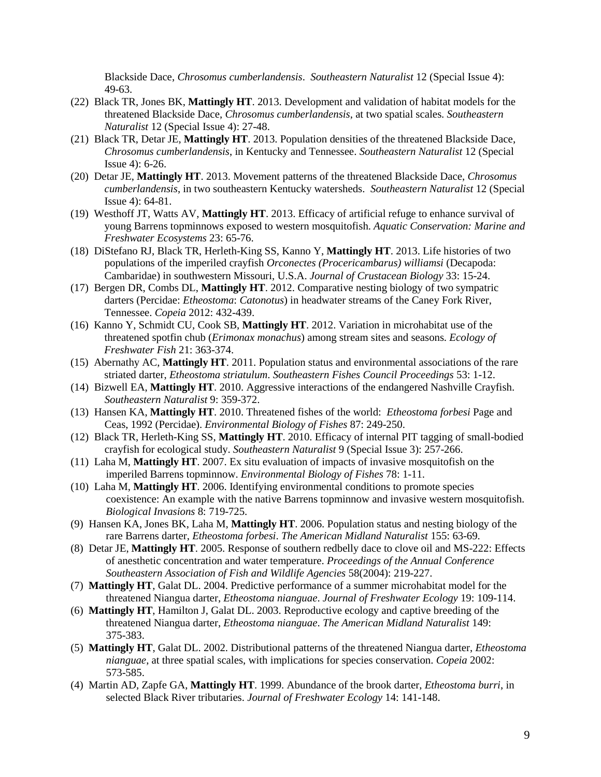Blackside Dace, *Chrosomus cumberlandensis*. *Southeastern Naturalist* 12 (Special Issue 4): 49-63.

- (22) Black TR, Jones BK, **Mattingly HT**. 2013. Development and validation of habitat models for the threatened Blackside Dace, *Chrosomus cumberlandensis*, at two spatial scales. *Southeastern Naturalist* 12 (Special Issue 4): 27-48.
- (21) Black TR, Detar JE, **Mattingly HT**. 2013. Population densities of the threatened Blackside Dace, *Chrosomus cumberlandensis*, in Kentucky and Tennessee. *Southeastern Naturalist* 12 (Special Issue 4): 6-26.
- (20) Detar JE, **Mattingly HT**. 2013. Movement patterns of the threatened Blackside Dace, *Chrosomus cumberlandensis*, in two southeastern Kentucky watersheds. *Southeastern Naturalist* 12 (Special Issue 4): 64-81.
- (19) Westhoff JT, Watts AV, **Mattingly HT**. 2013. Efficacy of artificial refuge to enhance survival of young Barrens topminnows exposed to western mosquitofish. *Aquatic Conservation: Marine and Freshwater Ecosystems* 23: 65-76.
- (18) DiStefano RJ, Black TR, Herleth-King SS, Kanno Y, **Mattingly HT**. 2013. Life histories of two populations of the imperiled crayfish *Orconectes (Procericambarus) williamsi* (Decapoda: Cambaridae) in southwestern Missouri, U.S.A. *Journal of Crustacean Biology* 33: 15-24.
- (17) Bergen DR, Combs DL, **Mattingly HT**. 2012. Comparative nesting biology of two sympatric darters (Percidae: *Etheostoma*: *Catonotus*) in headwater streams of the Caney Fork River, Tennessee. *Copeia* 2012: 432-439.
- (16) Kanno Y, Schmidt CU, Cook SB, **Mattingly HT**. 2012. Variation in microhabitat use of the threatened spotfin chub (*Erimonax monachus*) among stream sites and seasons. *Ecology of Freshwater Fish* 21: 363-374.
- (15) Abernathy AC, **Mattingly HT**. 2011. Population status and environmental associations of the rare striated darter, *Etheostoma striatulum*. *Southeastern Fishes Council Proceedings* 53: 1-12.
- (14) Bizwell EA, **Mattingly HT**. 2010. Aggressive interactions of the endangered Nashville Crayfish. *Southeastern Naturalist* 9: 359-372.
- (13) Hansen KA, **Mattingly HT**. 2010. Threatened fishes of the world: *Etheostoma forbesi* Page and Ceas, 1992 (Percidae). *Environmental Biology of Fishes* 87: 249-250.
- (12) Black TR, Herleth-King SS, **Mattingly HT**. 2010. Efficacy of internal PIT tagging of small-bodied crayfish for ecological study. *Southeastern Naturalist* 9 (Special Issue 3): 257-266.
- (11) Laha M, **Mattingly HT**. 2007. Ex situ evaluation of impacts of invasive mosquitofish on the imperiled Barrens topminnow. *Environmental Biology of Fishes* 78: 1-11.
- (10) Laha M, **Mattingly HT**. 2006. Identifying environmental conditions to promote species coexistence: An example with the native Barrens topminnow and invasive western mosquitofish. *Biological Invasions* 8: 719-725.
- (9) Hansen KA, Jones BK, Laha M, **Mattingly HT**. 2006. Population status and nesting biology of the rare Barrens darter, *Etheostoma forbesi*. *The American Midland Naturalist* 155: 63-69.
- (8) Detar JE, **Mattingly HT**. 2005. Response of southern redbelly dace to clove oil and MS-222: Effects of anesthetic concentration and water temperature. *Proceedings of the Annual Conference Southeastern Association of Fish and Wildlife Agencies* 58(2004): 219-227.
- (7) **Mattingly HT**, Galat DL. 2004. Predictive performance of a summer microhabitat model for the threatened Niangua darter, *Etheostoma nianguae*. *Journal of Freshwater Ecology* 19: 109-114.
- (6) **Mattingly HT**, Hamilton J, Galat DL. 2003. Reproductive ecology and captive breeding of the threatened Niangua darter, *Etheostoma nianguae*. *The American Midland Naturalist* 149: 375-383.
- (5) **Mattingly HT**, Galat DL. 2002. Distributional patterns of the threatened Niangua darter, *Etheostoma nianguae*, at three spatial scales, with implications for species conservation. *Copeia* 2002: 573-585.
- (4) Martin AD, Zapfe GA, **Mattingly HT**. 1999. Abundance of the brook darter, *Etheostoma burri*, in selected Black River tributaries. *Journal of Freshwater Ecology* 14: 141-148.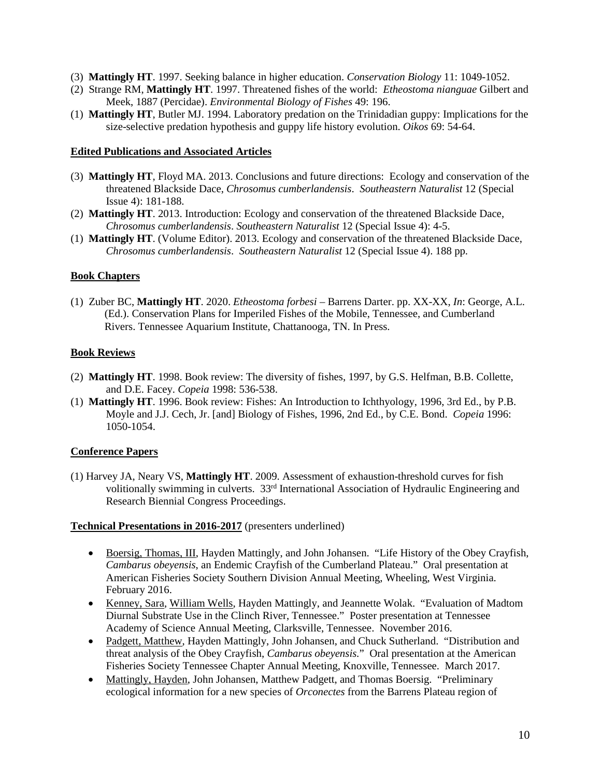- (3) **Mattingly HT**. 1997. Seeking balance in higher education. *Conservation Biology* 11: 1049-1052.
- (2) Strange RM, **Mattingly HT**. 1997. Threatened fishes of the world: *Etheostoma nianguae* Gilbert and Meek, 1887 (Percidae). *Environmental Biology of Fishes* 49: 196.
- (1) **Mattingly HT**, Butler MJ. 1994. Laboratory predation on the Trinidadian guppy: Implications for the size-selective predation hypothesis and guppy life history evolution. *Oikos* 69: 54-64.

### **Edited Publications and Associated Articles**

- (3) **Mattingly HT**, Floyd MA. 2013. Conclusions and future directions: Ecology and conservation of the threatened Blackside Dace, *Chrosomus cumberlandensis*. *Southeastern Naturalist* 12 (Special Issue 4): 181-188.
- (2) **Mattingly HT**. 2013. Introduction: Ecology and conservation of the threatened Blackside Dace, *Chrosomus cumberlandensis*. *Southeastern Naturalist* 12 (Special Issue 4): 4-5.
- (1) **Mattingly HT**. (Volume Editor). 2013. Ecology and conservation of the threatened Blackside Dace, *Chrosomus cumberlandensis*. *Southeastern Naturalist* 12 (Special Issue 4). 188 pp.

### **Book Chapters**

(1) Zuber BC, **Mattingly HT**. 2020. *Etheostoma forbesi* – Barrens Darter. pp. XX-XX, *In*: George, A.L. (Ed.). Conservation Plans for Imperiled Fishes of the Mobile, Tennessee, and Cumberland Rivers. Tennessee Aquarium Institute, Chattanooga, TN. In Press.

### **Book Reviews**

- (2) **Mattingly HT**. 1998. Book review: The diversity of fishes, 1997, by G.S. Helfman, B.B. Collette, and D.E. Facey. *Copeia* 1998: 536-538.
- (1) **Mattingly HT**. 1996. Book review: Fishes: An Introduction to Ichthyology, 1996, 3rd Ed., by P.B. Moyle and J.J. Cech, Jr. [and] Biology of Fishes, 1996, 2nd Ed., by C.E. Bond. *Copeia* 1996: 1050-1054.

# **Conference Papers**

(1) Harvey JA, Neary VS, **Mattingly HT**. 2009. Assessment of exhaustion-threshold curves for fish volitionally swimming in culverts. 33rd International Association of Hydraulic Engineering and Research Biennial Congress Proceedings.

#### **Technical Presentations in 2016-2017** (presenters underlined)

- Boersig, Thomas, III, Hayden Mattingly, and John Johansen. "Life History of the Obey Crayfish, *Cambarus obeyensis*, an Endemic Crayfish of the Cumberland Plateau." Oral presentation at American Fisheries Society Southern Division Annual Meeting, Wheeling, West Virginia. February 2016.
- Kenney, Sara, William Wells, Hayden Mattingly, and Jeannette Wolak. "Evaluation of Madtom Diurnal Substrate Use in the Clinch River, Tennessee." Poster presentation at Tennessee Academy of Science Annual Meeting, Clarksville, Tennessee. November 2016.
- Padgett, Matthew, Hayden Mattingly, John Johansen, and Chuck Sutherland. "Distribution and threat analysis of the Obey Crayfish, *Cambarus obeyensis.*" Oral presentation at the American Fisheries Society Tennessee Chapter Annual Meeting, Knoxville, Tennessee. March 2017.
- Mattingly, Hayden, John Johansen, Matthew Padgett, and Thomas Boersig. "Preliminary ecological information for a new species of *Orconectes* from the Barrens Plateau region of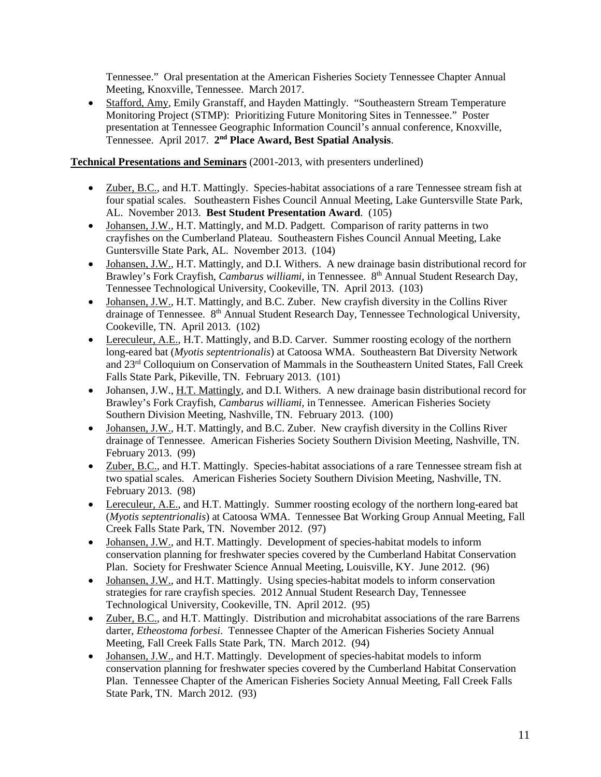Tennessee." Oral presentation at the American Fisheries Society Tennessee Chapter Annual Meeting, Knoxville, Tennessee. March 2017.

• Stafford, Amy, Emily Granstaff, and Hayden Mattingly. "Southeastern Stream Temperature Monitoring Project (STMP): Prioritizing Future Monitoring Sites in Tennessee." Poster presentation at Tennessee Geographic Information Council's annual conference, Knoxville, Tennessee. April 2017. **2nd Place Award, Best Spatial Analysis**.

# **Technical Presentations and Seminars** (2001-2013, with presenters underlined)

- Zuber, B.C., and H.T. Mattingly. Species-habitat associations of a rare Tennessee stream fish at four spatial scales. Southeastern Fishes Council Annual Meeting, Lake Guntersville State Park, AL. November 2013. **Best Student Presentation Award**. (105)
- Johansen, J.W., H.T. Mattingly, and M.D. Padgett. Comparison of rarity patterns in two crayfishes on the Cumberland Plateau. Southeastern Fishes Council Annual Meeting, Lake Guntersville State Park, AL. November 2013. (104)
- Johansen, J.W., H.T. Mattingly, and D.I. Withers. A new drainage basin distributional record for Brawley's Fork Crayfish, *Cambarus williami*, in Tennessee. 8<sup>th</sup> Annual Student Research Day, Tennessee Technological University, Cookeville, TN. April 2013. (103)
- Johansen, J.W., H.T. Mattingly, and B.C. Zuber. New crayfish diversity in the Collins River drainage of Tennessee. 8<sup>th</sup> Annual Student Research Day, Tennessee Technological University, Cookeville, TN. April 2013. (102)
- Lereculeur, A.E., H.T. Mattingly, and B.D. Carver. Summer roosting ecology of the northern long-eared bat (*Myotis septentrionalis*) at Catoosa WMA. Southeastern Bat Diversity Network and 23rd Colloquium on Conservation of Mammals in the Southeastern United States, Fall Creek Falls State Park, Pikeville, TN. February 2013. (101)
- Johansen, J.W., H.T. Mattingly, and D.I. Withers. A new drainage basin distributional record for Brawley's Fork Crayfish, *Cambarus williami*, in Tennessee. American Fisheries Society Southern Division Meeting, Nashville, TN. February 2013. (100)
- Johansen, J.W., H.T. Mattingly, and B.C. Zuber. New crayfish diversity in the Collins River drainage of Tennessee. American Fisheries Society Southern Division Meeting, Nashville, TN. February 2013. (99)
- Zuber, B.C., and H.T. Mattingly. Species-habitat associations of a rare Tennessee stream fish at two spatial scales. American Fisheries Society Southern Division Meeting, Nashville, TN. February 2013. (98)
- Lereculeur, A.E., and H.T. Mattingly. Summer roosting ecology of the northern long-eared bat (*Myotis septentrionalis*) at Catoosa WMA. Tennessee Bat Working Group Annual Meeting, Fall Creek Falls State Park, TN. November 2012. (97)
- Johansen, J.W., and H.T. Mattingly. Development of species-habitat models to inform conservation planning for freshwater species covered by the Cumberland Habitat Conservation Plan. Society for Freshwater Science Annual Meeting, Louisville, KY. June 2012. (96)
- Johansen, J.W., and H.T. Mattingly. Using species-habitat models to inform conservation strategies for rare crayfish species. 2012 Annual Student Research Day, Tennessee Technological University, Cookeville, TN. April 2012. (95)
- Zuber, B.C., and H.T. Mattingly. Distribution and microhabitat associations of the rare Barrens darter, *Etheostoma forbesi*. Tennessee Chapter of the American Fisheries Society Annual Meeting, Fall Creek Falls State Park, TN. March 2012. (94)
- Johansen, J.W., and H.T. Mattingly. Development of species-habitat models to inform conservation planning for freshwater species covered by the Cumberland Habitat Conservation Plan. Tennessee Chapter of the American Fisheries Society Annual Meeting, Fall Creek Falls State Park, TN. March 2012. (93)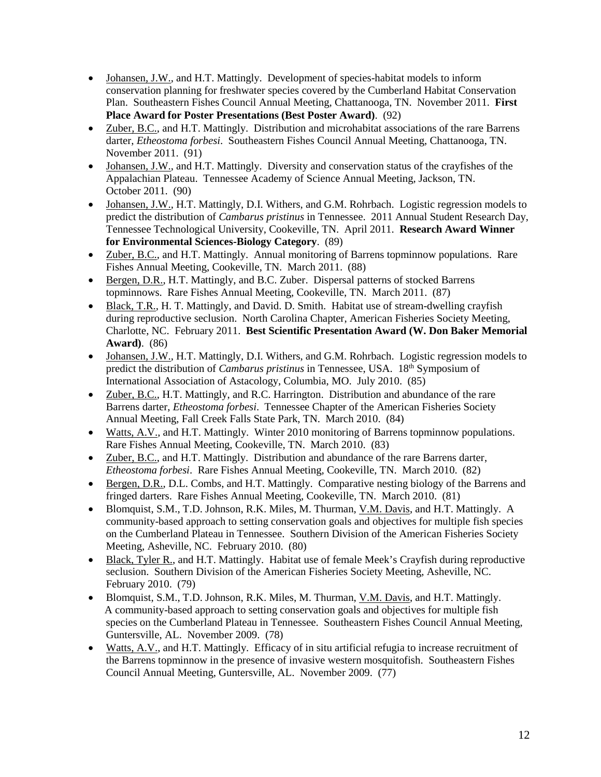- Johansen, J.W., and H.T. Mattingly. Development of species-habitat models to inform conservation planning for freshwater species covered by the Cumberland Habitat Conservation Plan. Southeastern Fishes Council Annual Meeting, Chattanooga, TN. November 2011. **First Place Award for Poster Presentations (Best Poster Award)**. (92)
- Zuber, B.C., and H.T. Mattingly. Distribution and microhabitat associations of the rare Barrens darter, *Etheostoma forbesi*. Southeastern Fishes Council Annual Meeting, Chattanooga, TN. November 2011. (91)
- Johansen, J.W., and H.T. Mattingly. Diversity and conservation status of the crayfishes of the Appalachian Plateau. Tennessee Academy of Science Annual Meeting, Jackson, TN. October 2011. (90)
- Johansen, J.W., H.T. Mattingly, D.I. Withers, and G.M. Rohrbach. Logistic regression models to predict the distribution of *Cambarus pristinus* in Tennessee. 2011 Annual Student Research Day, Tennessee Technological University, Cookeville, TN. April 2011. **Research Award Winner for Environmental Sciences-Biology Category**. (89)
- Zuber, B.C., and H.T. Mattingly. Annual monitoring of Barrens topminnow populations. Rare Fishes Annual Meeting, Cookeville, TN. March 2011. (88)
- Bergen, D.R., H.T. Mattingly, and B.C. Zuber. Dispersal patterns of stocked Barrens topminnows. Rare Fishes Annual Meeting, Cookeville, TN. March 2011. (87)
- Black, T.R., H. T. Mattingly, and David. D. Smith. Habitat use of stream-dwelling crayfish during reproductive seclusion. North Carolina Chapter, American Fisheries Society Meeting, Charlotte, NC. February 2011. **Best Scientific Presentation Award (W. Don Baker Memorial Award)**. (86)
- Johansen, J.W., H.T. Mattingly, D.I. Withers, and G.M. Rohrbach. Logistic regression models to predict the distribution of *Cambarus pristinus* in Tennessee, USA. 18th Symposium of International Association of Astacology, Columbia, MO. July 2010. (85)
- Zuber, B.C., H.T. Mattingly, and R.C. Harrington. Distribution and abundance of the rare Barrens darter, *Etheostoma forbesi*. Tennessee Chapter of the American Fisheries Society Annual Meeting, Fall Creek Falls State Park, TN. March 2010. (84)
- Watts, A.V., and H.T. Mattingly. Winter 2010 monitoring of Barrens topminnow populations. Rare Fishes Annual Meeting, Cookeville, TN. March 2010. (83)
- Zuber, B.C., and H.T. Mattingly. Distribution and abundance of the rare Barrens darter, *Etheostoma forbesi*. Rare Fishes Annual Meeting, Cookeville, TN. March 2010. (82)
- Bergen, D.R., D.L. Combs, and H.T. Mattingly. Comparative nesting biology of the Barrens and fringed darters. Rare Fishes Annual Meeting, Cookeville, TN. March 2010. (81)
- Blomquist, S.M., T.D. Johnson, R.K. Miles, M. Thurman, V.M. Davis, and H.T. Mattingly. A community-based approach to setting conservation goals and objectives for multiple fish species on the Cumberland Plateau in Tennessee. Southern Division of the American Fisheries Society Meeting, Asheville, NC. February 2010. (80)
- Black, Tyler R., and H.T. Mattingly. Habitat use of female Meek's Crayfish during reproductive seclusion. Southern Division of the American Fisheries Society Meeting, Asheville, NC. February 2010. (79)
- Blomquist, S.M., T.D. Johnson, R.K. Miles, M. Thurman, V.M. Davis, and H.T. Mattingly. A community-based approach to setting conservation goals and objectives for multiple fish species on the Cumberland Plateau in Tennessee. Southeastern Fishes Council Annual Meeting, Guntersville, AL. November 2009. (78)
- Watts, A.V., and H.T. Mattingly. Efficacy of in situ artificial refugia to increase recruitment of the Barrens topminnow in the presence of invasive western mosquitofish. Southeastern Fishes Council Annual Meeting, Guntersville, AL. November 2009. (77)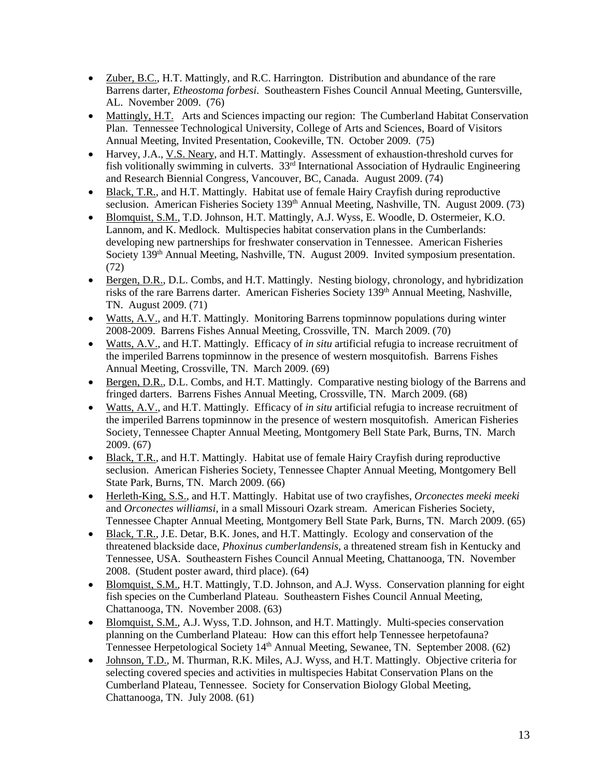- Zuber, B.C., H.T. Mattingly, and R.C. Harrington. Distribution and abundance of the rare Barrens darter, *Etheostoma forbesi*. Southeastern Fishes Council Annual Meeting, Guntersville, AL. November 2009. (76)
- Mattingly, H.T. Arts and Sciences impacting our region: The Cumberland Habitat Conservation Plan. Tennessee Technological University, College of Arts and Sciences, Board of Visitors Annual Meeting, Invited Presentation, Cookeville, TN. October 2009. (75)
- Harvey, J.A., V.S. Neary, and H.T. Mattingly. Assessment of exhaustion-threshold curves for fish volitionally swimming in culverts. 33rd International Association of Hydraulic Engineering and Research Biennial Congress, Vancouver, BC, Canada. August 2009. (74)
- Black, T.R., and H.T. Mattingly. Habitat use of female Hairy Crayfish during reproductive seclusion. American Fisheries Society 139<sup>th</sup> Annual Meeting, Nashville, TN. August 2009. (73)
- Blomquist, S.M., T.D. Johnson, H.T. Mattingly, A.J. Wyss, E. Woodle, D. Ostermeier, K.O. Lannom, and K. Medlock. Multispecies habitat conservation plans in the Cumberlands: developing new partnerships for freshwater conservation in Tennessee. American Fisheries Society 139<sup>th</sup> Annual Meeting, Nashville, TN. August 2009. Invited symposium presentation. (72)
- Bergen, D.R., D.L. Combs, and H.T. Mattingly. Nesting biology, chronology, and hybridization risks of the rare Barrens darter. American Fisheries Society 139<sup>th</sup> Annual Meeting, Nashville, TN. August 2009. (71)
- Watts, A.V., and H.T. Mattingly. Monitoring Barrens topminnow populations during winter 2008-2009. Barrens Fishes Annual Meeting, Crossville, TN. March 2009. (70)
- Watts, A.V., and H.T. Mattingly. Efficacy of *in situ* artificial refugia to increase recruitment of the imperiled Barrens topminnow in the presence of western mosquitofish. Barrens Fishes Annual Meeting, Crossville, TN. March 2009. (69)
- Bergen, D.R., D.L. Combs, and H.T. Mattingly. Comparative nesting biology of the Barrens and fringed darters. Barrens Fishes Annual Meeting, Crossville, TN. March 2009. (68)
- Watts, A.V., and H.T. Mattingly. Efficacy of *in situ* artificial refugia to increase recruitment of the imperiled Barrens topminnow in the presence of western mosquitofish. American Fisheries Society, Tennessee Chapter Annual Meeting, Montgomery Bell State Park, Burns, TN. March 2009. (67)
- Black, T.R., and H.T. Mattingly. Habitat use of female Hairy Crayfish during reproductive seclusion. American Fisheries Society, Tennessee Chapter Annual Meeting, Montgomery Bell State Park, Burns, TN. March 2009. (66)
- Herleth-King, S.S., and H.T. Mattingly. Habitat use of two crayfishes, *Orconectes meeki meeki* and *Orconectes williamsi*, in a small Missouri Ozark stream. American Fisheries Society, Tennessee Chapter Annual Meeting, Montgomery Bell State Park, Burns, TN. March 2009. (65)
- Black, T.R., J.E. Detar, B.K. Jones, and H.T. Mattingly. Ecology and conservation of the threatened blackside dace, *Phoxinus cumberlandensis*, a threatened stream fish in Kentucky and Tennessee, USA. Southeastern Fishes Council Annual Meeting, Chattanooga, TN. November 2008. (Student poster award, third place). (64)
- Blomquist, S.M., H.T. Mattingly, T.D. Johnson, and A.J. Wyss. Conservation planning for eight fish species on the Cumberland Plateau. Southeastern Fishes Council Annual Meeting, Chattanooga, TN. November 2008. (63)
- Blomquist, S.M., A.J. Wyss, T.D. Johnson, and H.T. Mattingly. Multi-species conservation planning on the Cumberland Plateau: How can this effort help Tennessee herpetofauna? Tennessee Herpetological Society 14<sup>th</sup> Annual Meeting, Sewanee, TN. September 2008. (62)
- Johnson, T.D., M. Thurman, R.K. Miles, A.J. Wyss, and H.T. Mattingly. Objective criteria for selecting covered species and activities in multispecies Habitat Conservation Plans on the Cumberland Plateau, Tennessee. Society for Conservation Biology Global Meeting, Chattanooga, TN. July 2008. (61)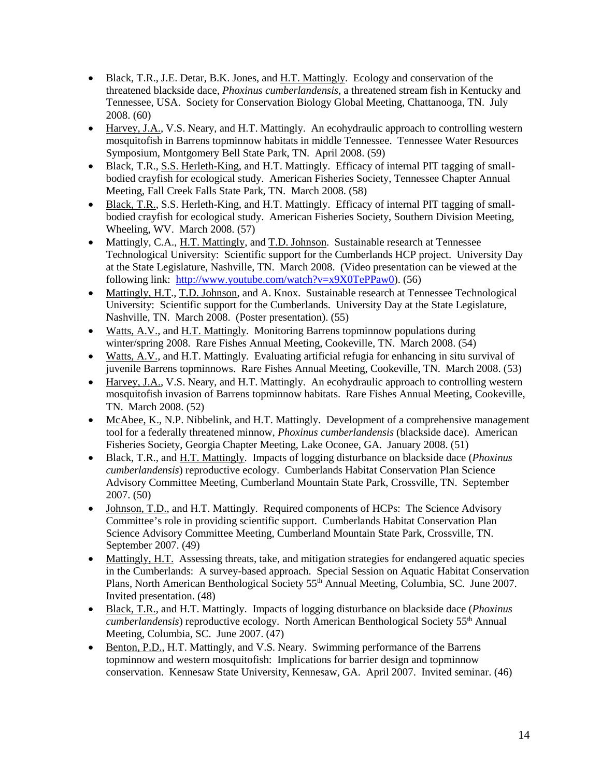- Black, T.R., J.E. Detar, B.K. Jones, and H.T. Mattingly. Ecology and conservation of the threatened blackside dace, *Phoxinus cumberlandensis*, a threatened stream fish in Kentucky and Tennessee, USA. Society for Conservation Biology Global Meeting, Chattanooga, TN. July 2008. (60)
- Harvey, J.A., V.S. Neary, and H.T. Mattingly. An ecohydraulic approach to controlling western mosquitofish in Barrens topminnow habitats in middle Tennessee. Tennessee Water Resources Symposium, Montgomery Bell State Park, TN. April 2008. (59)
- Black, T.R., S.S. Herleth-King, and H.T. Mattingly. Efficacy of internal PIT tagging of smallbodied crayfish for ecological study. American Fisheries Society, Tennessee Chapter Annual Meeting, Fall Creek Falls State Park, TN. March 2008. (58)
- Black, T.R., S.S. Herleth-King, and H.T. Mattingly. Efficacy of internal PIT tagging of smallbodied crayfish for ecological study. American Fisheries Society, Southern Division Meeting, Wheeling, WV. March 2008. (57)
- Mattingly, C.A., H.T. Mattingly, and T.D. Johnson. Sustainable research at Tennessee Technological University: Scientific support for the Cumberlands HCP project. University Day at the State Legislature, Nashville, TN. March 2008. (Video presentation can be viewed at the following link: [http://www.youtube.com/watch?v=x9X0TePPaw0\)](http://www.youtube.com/watch?v=x9X0TePPaw0). (56)
- Mattingly, H.T., T.D. Johnson, and A. Knox. Sustainable research at Tennessee Technological University: Scientific support for the Cumberlands. University Day at the State Legislature, Nashville, TN. March 2008. (Poster presentation). (55)
- Watts, A.V., and H.T. Mattingly. Monitoring Barrens topminnow populations during winter/spring 2008. Rare Fishes Annual Meeting, Cookeville, TN. March 2008. (54)
- Watts, A.V., and H.T. Mattingly. Evaluating artificial refugia for enhancing in situ survival of juvenile Barrens topminnows. Rare Fishes Annual Meeting, Cookeville, TN. March 2008. (53)
- Harvey, J.A., V.S. Neary, and H.T. Mattingly. An ecohydraulic approach to controlling western mosquitofish invasion of Barrens topminnow habitats. Rare Fishes Annual Meeting, Cookeville, TN. March 2008. (52)
- McAbee, K., N.P. Nibbelink, and H.T. Mattingly. Development of a comprehensive management tool for a federally threatened minnow, *Phoxinus cumberlandensis* (blackside dace). American Fisheries Society, Georgia Chapter Meeting, Lake Oconee, GA. January 2008. (51)
- Black, T.R., and H.T. Mattingly. Impacts of logging disturbance on blackside dace (*Phoxinus cumberlandensis*) reproductive ecology. Cumberlands Habitat Conservation Plan Science Advisory Committee Meeting, Cumberland Mountain State Park, Crossville, TN. September 2007. (50)
- Johnson, T.D., and H.T. Mattingly. Required components of HCPs: The Science Advisory Committee's role in providing scientific support. Cumberlands Habitat Conservation Plan Science Advisory Committee Meeting, Cumberland Mountain State Park, Crossville, TN. September 2007. (49)
- Mattingly, H.T. Assessing threats, take, and mitigation strategies for endangered aquatic species in the Cumberlands: A survey-based approach. Special Session on Aquatic Habitat Conservation Plans, North American Benthological Society 55th Annual Meeting, Columbia, SC. June 2007. Invited presentation. (48)
- Black, T.R., and H.T. Mattingly. Impacts of logging disturbance on blackside dace (*Phoxinus cumberlandensis*) reproductive ecology. North American Benthological Society 55th Annual Meeting, Columbia, SC. June 2007. (47)
- Benton, P.D., H.T. Mattingly, and V.S. Neary. Swimming performance of the Barrens topminnow and western mosquitofish: Implications for barrier design and topminnow conservation. Kennesaw State University, Kennesaw, GA. April 2007. Invited seminar. (46)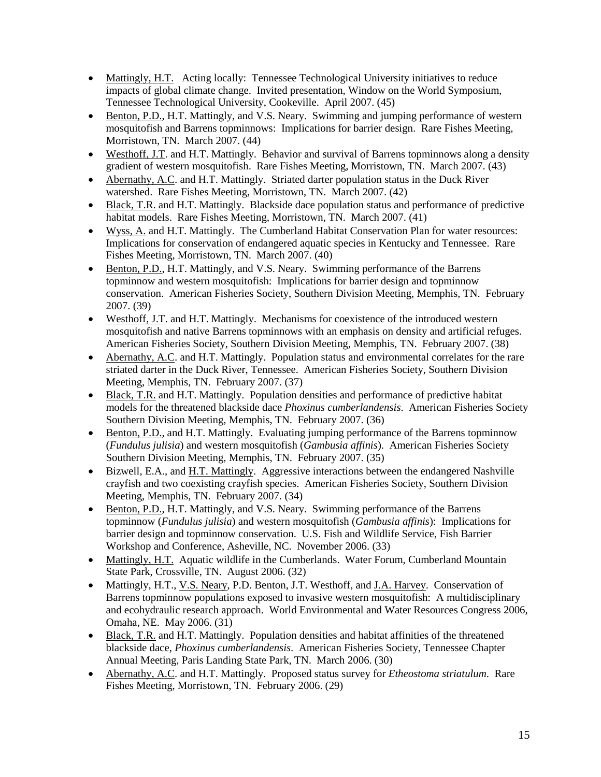- Mattingly, H.T. Acting locally: Tennessee Technological University initiatives to reduce impacts of global climate change. Invited presentation, Window on the World Symposium, Tennessee Technological University, Cookeville. April 2007. (45)
- Benton, P.D., H.T. Mattingly, and V.S. Neary. Swimming and jumping performance of western mosquitofish and Barrens topminnows: Implications for barrier design. Rare Fishes Meeting, Morristown, TN. March 2007. (44)
- Westhoff, J.T. and H.T. Mattingly. Behavior and survival of Barrens topminnows along a density gradient of western mosquitofish. Rare Fishes Meeting, Morristown, TN. March 2007. (43)
- Abernathy, A.C. and H.T. Mattingly. Striated darter population status in the Duck River watershed. Rare Fishes Meeting, Morristown, TN. March 2007. (42)
- Black, T.R. and H.T. Mattingly. Blackside dace population status and performance of predictive habitat models. Rare Fishes Meeting, Morristown, TN. March 2007. (41)
- Wyss, A. and H.T. Mattingly. The Cumberland Habitat Conservation Plan for water resources: Implications for conservation of endangered aquatic species in Kentucky and Tennessee. Rare Fishes Meeting, Morristown, TN. March 2007. (40)
- Benton, P.D., H.T. Mattingly, and V.S. Neary. Swimming performance of the Barrens topminnow and western mosquitofish: Implications for barrier design and topminnow conservation. American Fisheries Society, Southern Division Meeting, Memphis, TN. February 2007. (39)
- Westhoff, J.T. and H.T. Mattingly. Mechanisms for coexistence of the introduced western mosquitofish and native Barrens topminnows with an emphasis on density and artificial refuges. American Fisheries Society, Southern Division Meeting, Memphis, TN. February 2007. (38)
- Abernathy, A.C. and H.T. Mattingly. Population status and environmental correlates for the rare striated darter in the Duck River, Tennessee. American Fisheries Society, Southern Division Meeting, Memphis, TN. February 2007. (37)
- Black, T.R. and H.T. Mattingly. Population densities and performance of predictive habitat models for the threatened blackside dace *Phoxinus cumberlandensis*. American Fisheries Society Southern Division Meeting, Memphis, TN. February 2007. (36)
- Benton, P.D., and H.T. Mattingly. Evaluating jumping performance of the Barrens topminnow (*Fundulus julisia*) and western mosquitofish (*Gambusia affinis*). American Fisheries Society Southern Division Meeting, Memphis, TN. February 2007. (35)
- Bizwell, E.A., and H.T. Mattingly. Aggressive interactions between the endangered Nashville crayfish and two coexisting crayfish species. American Fisheries Society, Southern Division Meeting, Memphis, TN. February 2007. (34)
- Benton, P.D., H.T. Mattingly, and V.S. Neary. Swimming performance of the Barrens topminnow (*Fundulus julisia*) and western mosquitofish (*Gambusia affinis*): Implications for barrier design and topminnow conservation. U.S. Fish and Wildlife Service, Fish Barrier Workshop and Conference, Asheville, NC. November 2006. (33)
- Mattingly, H.T. Aquatic wildlife in the Cumberlands. Water Forum, Cumberland Mountain State Park, Crossville, TN. August 2006. (32)
- Mattingly, H.T., V.S. Neary, P.D. Benton, J.T. Westhoff, and J.A. Harvey. Conservation of Barrens topminnow populations exposed to invasive western mosquitofish: A multidisciplinary and ecohydraulic research approach. World Environmental and Water Resources Congress 2006, Omaha, NE. May 2006. (31)
- Black, T.R. and H.T. Mattingly. Population densities and habitat affinities of the threatened blackside dace, *Phoxinus cumberlandensis*. American Fisheries Society, Tennessee Chapter Annual Meeting, Paris Landing State Park, TN. March 2006. (30)
- Abernathy, A.C. and H.T. Mattingly. Proposed status survey for *Etheostoma striatulum*. Rare Fishes Meeting, Morristown, TN. February 2006. (29)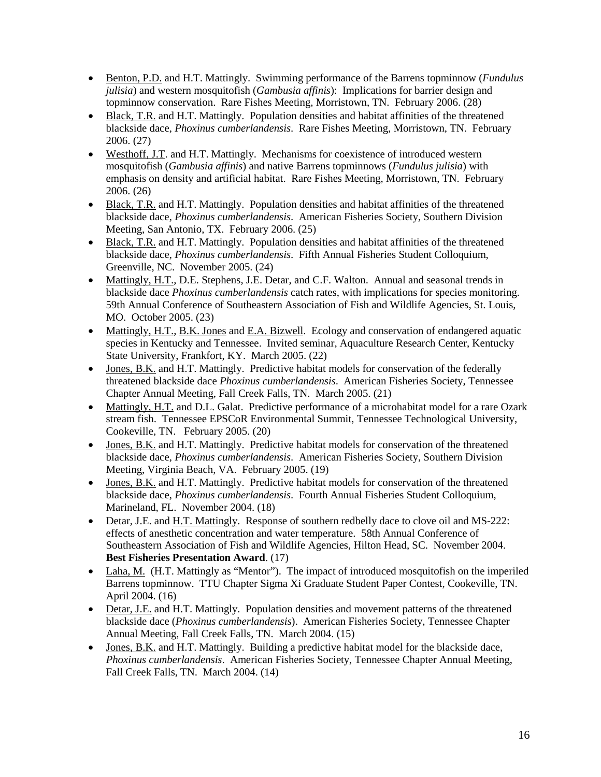- Benton, P.D. and H.T. Mattingly. Swimming performance of the Barrens topminnow (*Fundulus julisia*) and western mosquitofish (*Gambusia affinis*): Implications for barrier design and topminnow conservation. Rare Fishes Meeting, Morristown, TN. February 2006. (28)
- Black, T.R. and H.T. Mattingly. Population densities and habitat affinities of the threatened blackside dace, *Phoxinus cumberlandensis*. Rare Fishes Meeting, Morristown, TN. February 2006. (27)
- Westhoff, J.T. and H.T. Mattingly. Mechanisms for coexistence of introduced western mosquitofish (*Gambusia affinis*) and native Barrens topminnows (*Fundulus julisia*) with emphasis on density and artificial habitat. Rare Fishes Meeting, Morristown, TN. February 2006. (26)
- Black, T.R. and H.T. Mattingly. Population densities and habitat affinities of the threatened blackside dace, *Phoxinus cumberlandensis*. American Fisheries Society, Southern Division Meeting, San Antonio, TX. February 2006. (25)
- Black, T.R. and H.T. Mattingly. Population densities and habitat affinities of the threatened blackside dace, *Phoxinus cumberlandensis*. Fifth Annual Fisheries Student Colloquium, Greenville, NC. November 2005. (24)
- Mattingly, H.T., D.E. Stephens, J.E. Detar, and C.F. Walton. Annual and seasonal trends in blackside dace *Phoxinus cumberlandensis* catch rates, with implications for species monitoring. 59th Annual Conference of Southeastern Association of Fish and Wildlife Agencies, St. Louis, MO. October 2005. (23)
- Mattingly, H.T., B.K. Jones and E.A. Bizwell. Ecology and conservation of endangered aquatic species in Kentucky and Tennessee. Invited seminar, Aquaculture Research Center, Kentucky State University, Frankfort, KY. March 2005. (22)
- Jones, B.K. and H.T. Mattingly. Predictive habitat models for conservation of the federally threatened blackside dace *Phoxinus cumberlandensis*. American Fisheries Society, Tennessee Chapter Annual Meeting, Fall Creek Falls, TN. March 2005. (21)
- Mattingly, H.T. and D.L. Galat. Predictive performance of a microhabitat model for a rare Ozark stream fish. Tennessee EPSCoR Environmental Summit, Tennessee Technological University, Cookeville, TN. February 2005. (20)
- Jones, B.K. and H.T. Mattingly. Predictive habitat models for conservation of the threatened blackside dace, *Phoxinus cumberlandensis*. American Fisheries Society, Southern Division Meeting, Virginia Beach, VA. February 2005. (19)
- Jones, B.K. and H.T. Mattingly. Predictive habitat models for conservation of the threatened blackside dace, *Phoxinus cumberlandensis*. Fourth Annual Fisheries Student Colloquium, Marineland, FL. November 2004. (18)
- Detar, J.E. and H.T. Mattingly. Response of southern redbelly dace to clove oil and MS-222: effects of anesthetic concentration and water temperature. 58th Annual Conference of Southeastern Association of Fish and Wildlife Agencies, Hilton Head, SC. November 2004. **Best Fisheries Presentation Award**. (17)
- Laha, M. (H.T. Mattingly as "Mentor"). The impact of introduced mosquitofish on the imperiled Barrens topminnow. TTU Chapter Sigma Xi Graduate Student Paper Contest, Cookeville, TN. April 2004. (16)
- Detar, J.E. and H.T. Mattingly. Population densities and movement patterns of the threatened blackside dace (*Phoxinus cumberlandensis*). American Fisheries Society, Tennessee Chapter Annual Meeting, Fall Creek Falls, TN. March 2004. (15)
- Jones, B.K. and H.T. Mattingly. Building a predictive habitat model for the blackside dace, *Phoxinus cumberlandensis*. American Fisheries Society, Tennessee Chapter Annual Meeting, Fall Creek Falls, TN. March 2004. (14)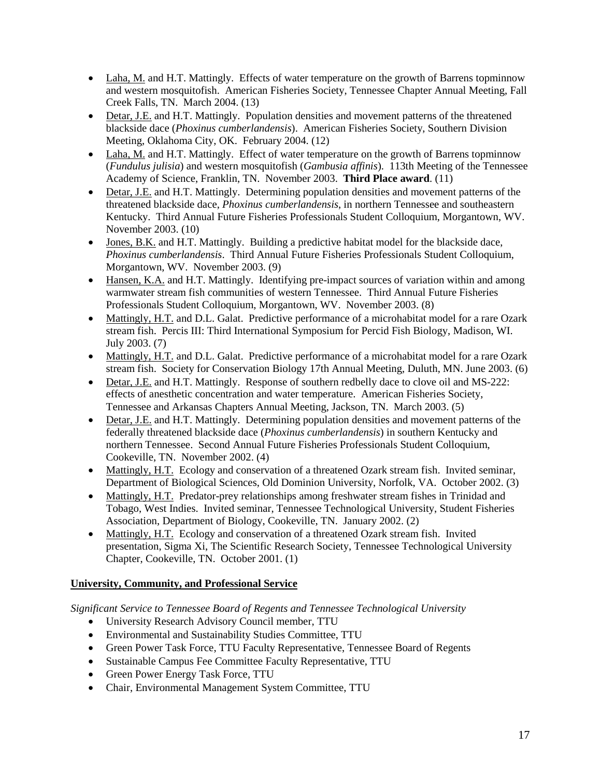- Laha, M. and H.T. Mattingly. Effects of water temperature on the growth of Barrens topminnow and western mosquitofish. American Fisheries Society, Tennessee Chapter Annual Meeting, Fall Creek Falls, TN. March 2004. (13)
- Detar, J.E. and H.T. Mattingly. Population densities and movement patterns of the threatened blackside dace (*Phoxinus cumberlandensis*). American Fisheries Society, Southern Division Meeting, Oklahoma City, OK. February 2004. (12)
- Laha, M. and H.T. Mattingly. Effect of water temperature on the growth of Barrens topminnow (*Fundulus julisia*) and western mosquitofish (*Gambusia affinis*). 113th Meeting of the Tennessee Academy of Science, Franklin, TN. November 2003. **Third Place award**. (11)
- Detar, J.E. and H.T. Mattingly. Determining population densities and movement patterns of the threatened blackside dace, *Phoxinus cumberlandensis*, in northern Tennessee and southeastern Kentucky. Third Annual Future Fisheries Professionals Student Colloquium, Morgantown, WV. November 2003. (10)
- Jones, B.K. and H.T. Mattingly. Building a predictive habitat model for the blackside dace, *Phoxinus cumberlandensis*. Third Annual Future Fisheries Professionals Student Colloquium, Morgantown, WV. November 2003. (9)
- Hansen, K.A. and H.T. Mattingly. Identifying pre-impact sources of variation within and among warmwater stream fish communities of western Tennessee. Third Annual Future Fisheries Professionals Student Colloquium, Morgantown, WV. November 2003. (8)
- Mattingly, H.T. and D.L. Galat. Predictive performance of a microhabitat model for a rare Ozark stream fish. Percis III: Third International Symposium for Percid Fish Biology, Madison, WI. July 2003. (7)
- Mattingly, H.T. and D.L. Galat. Predictive performance of a microhabitat model for a rare Ozark stream fish. Society for Conservation Biology 17th Annual Meeting, Duluth, MN. June 2003. (6)
- Detar, J.E. and H.T. Mattingly. Response of southern redbelly dace to clove oil and MS-222: effects of anesthetic concentration and water temperature. American Fisheries Society, Tennessee and Arkansas Chapters Annual Meeting, Jackson, TN. March 2003. (5)
- Detar, J.E. and H.T. Mattingly. Determining population densities and movement patterns of the federally threatened blackside dace (*Phoxinus cumberlandensis*) in southern Kentucky and northern Tennessee. Second Annual Future Fisheries Professionals Student Colloquium, Cookeville, TN. November 2002. (4)
- Mattingly, H.T. Ecology and conservation of a threatened Ozark stream fish. Invited seminar, Department of Biological Sciences, Old Dominion University, Norfolk, VA. October 2002. (3)
- Mattingly, H.T. Predator-prey relationships among freshwater stream fishes in Trinidad and Tobago, West Indies. Invited seminar, Tennessee Technological University, Student Fisheries Association, Department of Biology, Cookeville, TN. January 2002. (2)
- Mattingly, H.T. Ecology and conservation of a threatened Ozark stream fish. Invited presentation, Sigma Xi, The Scientific Research Society, Tennessee Technological University Chapter, Cookeville, TN. October 2001. (1)

# **University, Community, and Professional Service**

*Significant Service to Tennessee Board of Regents and Tennessee Technological University*

- University Research Advisory Council member, TTU
- Environmental and Sustainability Studies Committee, TTU
- Green Power Task Force, TTU Faculty Representative, Tennessee Board of Regents
- Sustainable Campus Fee Committee Faculty Representative, TTU
- Green Power Energy Task Force, TTU
- Chair, Environmental Management System Committee, TTU